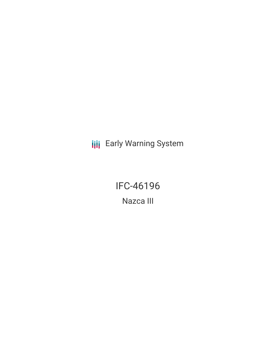**III** Early Warning System

IFC-46196 Nazca III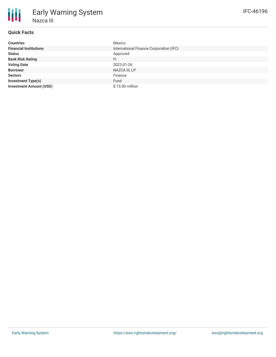## **Quick Facts**

| <b>Countries</b>               | Mexico                                  |
|--------------------------------|-----------------------------------------|
| <b>Financial Institutions</b>  | International Finance Corporation (IFC) |
| <b>Status</b>                  | Approved                                |
| <b>Bank Risk Rating</b>        | FI.                                     |
| <b>Voting Date</b>             | 2022-01-26                              |
| <b>Borrower</b>                | NAZCA III, LP                           |
| <b>Sectors</b>                 | Finance                                 |
| <b>Investment Type(s)</b>      | Fund                                    |
| <b>Investment Amount (USD)</b> | \$15.00 million                         |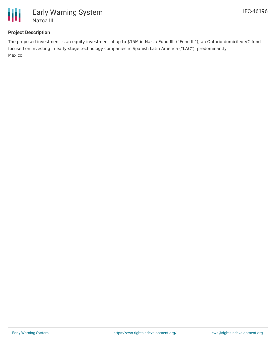

## **Project Description**

The proposed investment is an equity investment of up to \$15M in Nazca Fund III, ("Fund III"), an Ontario-domiciled VC fund focused on investing in early-stage technology companies in Spanish Latin America ("LAC"), predominantly Mexico.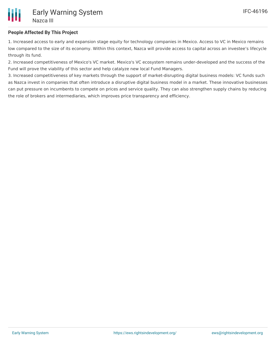

## **People Affected By This Project**

1. Increased access to early and expansion stage equity for technology companies in Mexico. Access to VC in Mexico remains low compared to the size of its economy. Within this context, Nazca will provide access to capital across an investee's lifecycle through its fund.

2. Increased competitiveness of Mexico's VC market. Mexico's VC ecosystem remains under-developed and the success of the Fund will prove the viability of this sector and help catalyze new local Fund Managers.

3. Increased competitiveness of key markets through the support of market-disrupting digital business models: VC funds such as Nazca invest in companies that often introduce a disruptive digital business model in a market. These innovative businesses can put pressure on incumbents to compete on prices and service quality. They can also strengthen supply chains by reducing the role of brokers and intermediaries, which improves price transparency and efficiency.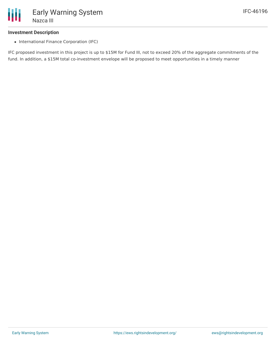#### **Investment Description**

• International Finance Corporation (IFC)

IFC proposed investment in this project is up to \$15M for Fund III, not to exceed 20% of the aggregate commitments of the fund. In addition, a \$15M total co-investment envelope will be proposed to meet opportunities in a timely manner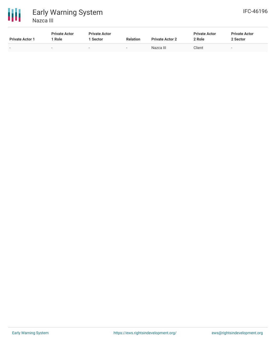



| <b>Private Actor 1</b>   | <b>Private Actor</b><br>Role | <b>Private Actor</b><br>Sector | <b>Relation</b>          | <b>Private Actor 2</b> | <b>Private Actor</b><br>2 Role | <b>Private Actor</b><br>2 Sector |
|--------------------------|------------------------------|--------------------------------|--------------------------|------------------------|--------------------------------|----------------------------------|
| $\overline{\phantom{0}}$ | $\overline{\phantom{a}}$     | $\overline{\phantom{0}}$       | $\overline{\phantom{0}}$ | Nazca III              | Client                         | $\overline{\phantom{a}}$         |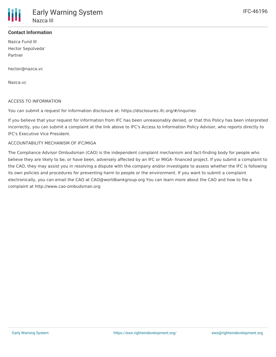### **Contact Information**

Nazca Fund III Hector Sepúlveda' Partner

hector@nazca.vc

Nazca.vc

#### ACCESS TO INFORMATION

You can submit a request for information disclosure at: https://disclosures.ifc.org/#/inquiries

If you believe that your request for information from IFC has been unreasonably denied, or that this Policy has been interpreted incorrectly, you can submit a complaint at the link above to IFC's Access to Information Policy Advisor, who reports directly to IFC's Executive Vice President.

#### ACCOUNTABILITY MECHANISM OF IFC/MIGA

The Compliance Advisor Ombudsman (CAO) is the independent complaint mechanism and fact-finding body for people who believe they are likely to be, or have been, adversely affected by an IFC or MIGA- financed project. If you submit a complaint to the CAO, they may assist you in resolving a dispute with the company and/or investigate to assess whether the IFC is following its own policies and procedures for preventing harm to people or the environment. If you want to submit a complaint electronically, you can email the CAO at CAO@worldbankgroup.org You can learn more about the CAO and how to file a complaint at http://www.cao-ombudsman.org